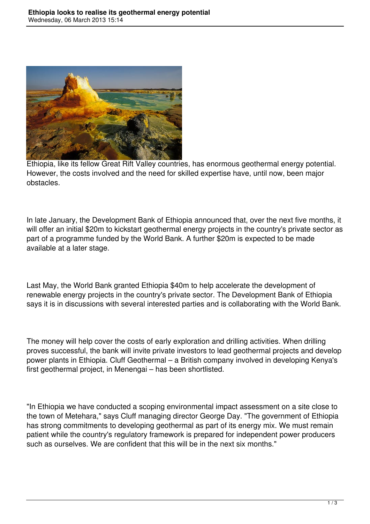

Ethiopia, like its fellow Great Rift Valley countries, has enormous geothermal energy potential. However, the costs involved and the need for skilled expertise have, until now, been major obstacles.

In late January, the Development Bank of Ethiopia announced that, over the next five months, it will offer an initial \$20m to kickstart geothermal energy projects in the country's private sector as part of a programme funded by the World Bank. A further \$20m is expected to be made available at a later stage.

Last May, the World Bank granted Ethiopia \$40m to help accelerate the development of renewable energy projects in the country's private sector. The Development Bank of Ethiopia says it is in discussions with several interested parties and is collaborating with the World Bank.

The money will help cover the costs of early exploration and drilling activities. When drilling proves successful, the bank will invite private investors to lead geothermal projects and develop power plants in Ethiopia. Cluff Geothermal – a British company involved in developing Kenya's first geothermal project, in Menengai – has been shortlisted.

"In Ethiopia we have conducted a scoping environmental impact assessment on a site close to the town of Metehara," says Cluff managing director George Day. "The government of Ethiopia has strong commitments to developing geothermal as part of its energy mix. We must remain patient while the country's regulatory framework is prepared for independent power producers such as ourselves. We are confident that this will be in the next six months."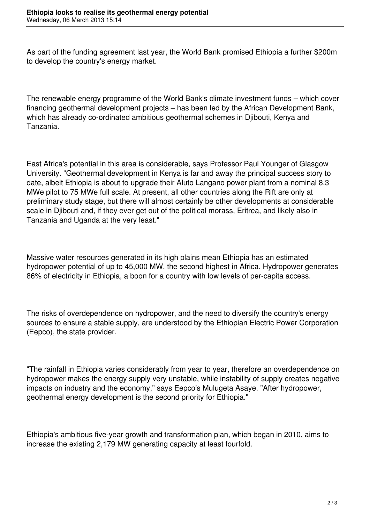As part of the funding agreement last year, the World Bank promised Ethiopia a further \$200m to develop the country's energy market.

The renewable energy programme of the World Bank's climate investment funds – which cover financing geothermal development projects – has been led by the African Development Bank, which has already co-ordinated ambitious geothermal schemes in Djibouti, Kenya and Tanzania.

East Africa's potential in this area is considerable, says Professor Paul Younger of Glasgow University. "Geothermal development in Kenya is far and away the principal success story to date, albeit Ethiopia is about to upgrade their Aluto Langano power plant from a nominal 8.3 MWe pilot to 75 MWe full scale. At present, all other countries along the Rift are only at preliminary study stage, but there will almost certainly be other developments at considerable scale in Djibouti and, if they ever get out of the political morass, Eritrea, and likely also in Tanzania and Uganda at the very least."

Massive water resources generated in its high plains mean Ethiopia has an estimated hydropower potential of up to 45,000 MW, the second highest in Africa. Hydropower generates 86% of electricity in Ethiopia, a boon for a country with low levels of per-capita access.

The risks of overdependence on hydropower, and the need to diversify the country's energy sources to ensure a stable supply, are understood by the Ethiopian Electric Power Corporation (Eepco), the state provider.

"The rainfall in Ethiopia varies considerably from year to year, therefore an overdependence on hydropower makes the energy supply very unstable, while instability of supply creates negative impacts on industry and the economy," says Eepco's Mulugeta Asaye. "After hydropower, geothermal energy development is the second priority for Ethiopia."

Ethiopia's ambitious five-year growth and transformation plan, which began in 2010, aims to increase the existing 2,179 MW generating capacity at least fourfold.